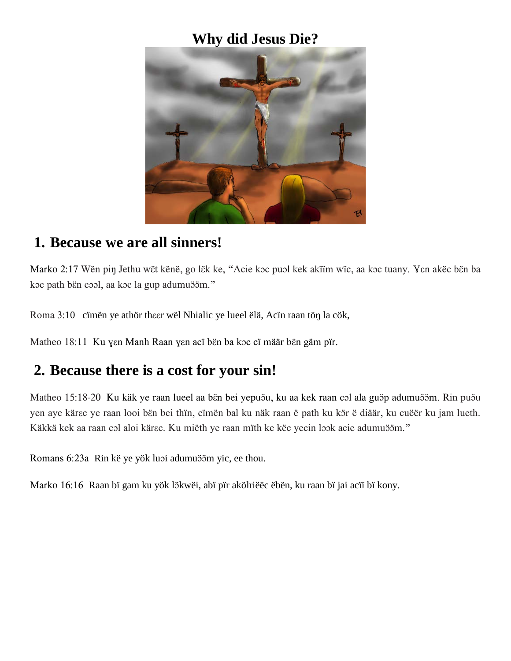## **Why did Jesus Die?**



#### **1. Because we are all sinners!**

Marko 2:17 Wën piŋ Jethu wët kënë, go lëk ke, "Acie koc puol kek akiim wic, aa koc tuany. Yen akëc bën ba koc path bën cool, aa koc la gup adumuööm."

Roma 3:10 cïmën ye athör the er wël Nhialic ye lueel ëlä, Acïn raan tön la cök,

Matheo 18:11 Ku yen Manh Raan yen acï bën ba koc cï määr bën gäm pïr.

### **2. Because there is a cost for your sin!**

Matheo 15:18-20 Ku käk ye raan lueel aa bën bei yepuöu, ku aa kek raan col ala guöp adumuööm. Rin puöu yen aye kärɛc ye raan looi bën bei thïn, cïmën bal ku näk raan ë path ku kör ë diäär, ku cuëër ku jam lueth. Käkkä kek aa raan col aloi kärɛc. Ku miëth ye raan mïth ke këc yecin look acie adumuööm."

Romans 6:23a Rin kë ye yök luoi adumu öm yic, ee thou.

Marko 16:16 Raan bï gam ku yök lökwëi, abï pïr akölriëëc ëbën, ku raan bï jai acïï bï kony.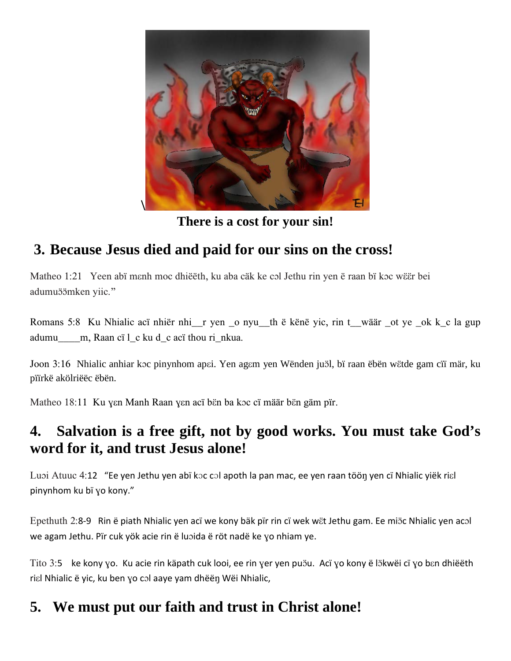

**There is a cost for your sin!**

## **3. Because Jesus died and paid for our sins on the cross!**

Matheo 1:21 Yeen abï mɛnh moc dhiĕëth, ku aba cäk ke cɔl Jethu rin yen ë raan bï kɔc wɛ̃er bei adumuöömken yiic."

Romans 5:8 Ku Nhialic acï nhiër nhi\_\_r yen \_o nyu\_\_th ë kënë yic, rin t\_\_wäär \_ot ye \_ok k\_c la gup adumu m, Raan cï l c ku d c acï thou ri nkua.

Joon 3:16 Nhialic anhiar koc pinynhom apai. Yen agam yen Wënden juöl, bï raan ëbën wëtde gam cïï mär, ku pïïrkë akölriëëc ëbën.

Matheo 18:11 Ku yen Manh Raan yen acï bën ba koc cï määr bën gäm pïr.

## **4. Salvation is a free gift, not by good works. You must take God's word for it, and trust Jesus alone!**

Luɔi Atuuc 4:12 "Ee yen Jethu yen abï kɔc cɔl apoth la pan mac, ee yen raan tööŋ yen cï Nhialic yiëk riɛl pinynhom ku bï ɣo kony."

Epethuth 2:8-9 Rin ë piath Nhialic yen acï we kony bäk pïr rin cï wek wët Jethu gam. Ee miöc Nhialic yen acol we agam Jethu. Pïr cuk yök acie rin ë luɔida ë röt nadë ke ɣo nhiam ye.

Tito 3:5 ke kony yo. Ku acie rin käpath cuk looi, ee rin yer yen puöu. Acï yo kony ë lökwëi cï yo bɛn dhiëëth riɛl Nhialic ë yic, ku ben ɣo cɔl aaye yam dhëëŋ Wëi Nhialic,

# **5. We must put our faith and trust in Christ alone!**